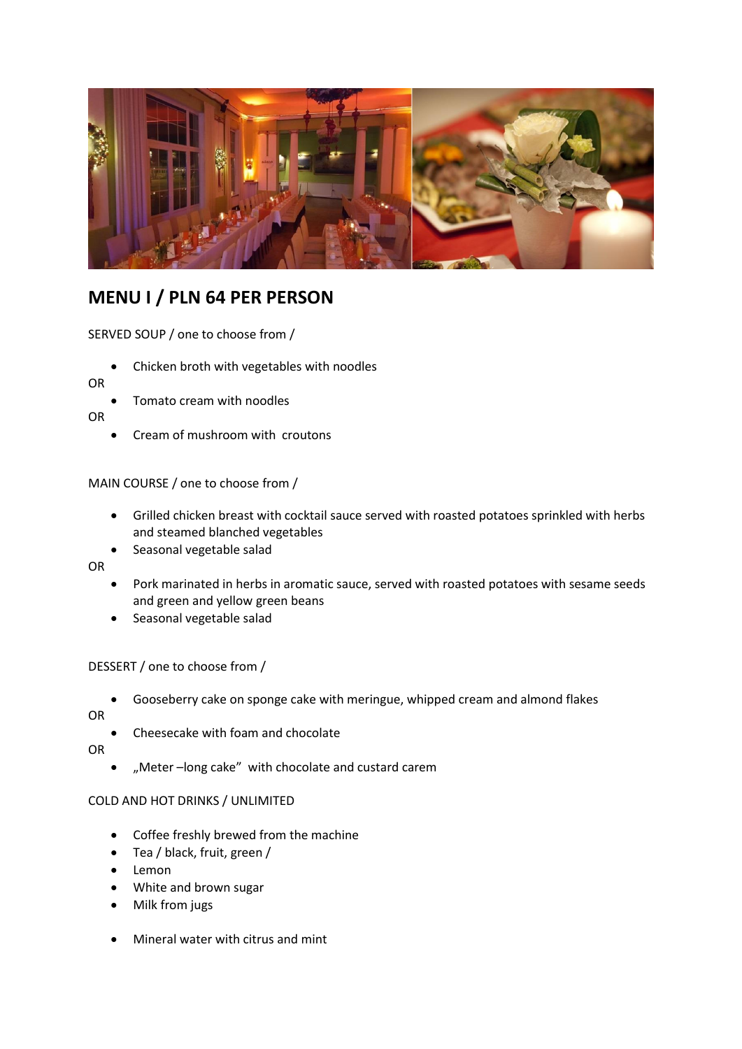

# **MENU I / PLN 64 PER PERSON**

SERVED SOUP / one to choose from /

Chicken broth with vegetables with noodles

OR

Tomato cream with noodles

OR

Cream of mushroom with croutons

## MAIN COURSE / one to choose from /

- Grilled chicken breast with cocktail sauce served with roasted potatoes sprinkled with herbs and steamed blanched vegetables
- Seasonal vegetable salad

OR

- Pork marinated in herbs in aromatic sauce, served with roasted potatoes with sesame seeds and green and yellow green beans
- Seasonal vegetable salad

## DESSERT / one to choose from /

Gooseberry cake on sponge cake with meringue, whipped cream and almond flakes

OR

Cheesecake with foam and chocolate

OR

"Meter –long cake" with chocolate and custard carem

#### COLD AND HOT DRINKS / UNLIMITED

- Coffee freshly brewed from the machine
- Tea / black, fruit, green /
- Lemon
- White and brown sugar
- Milk from jugs
- Mineral water with citrus and mint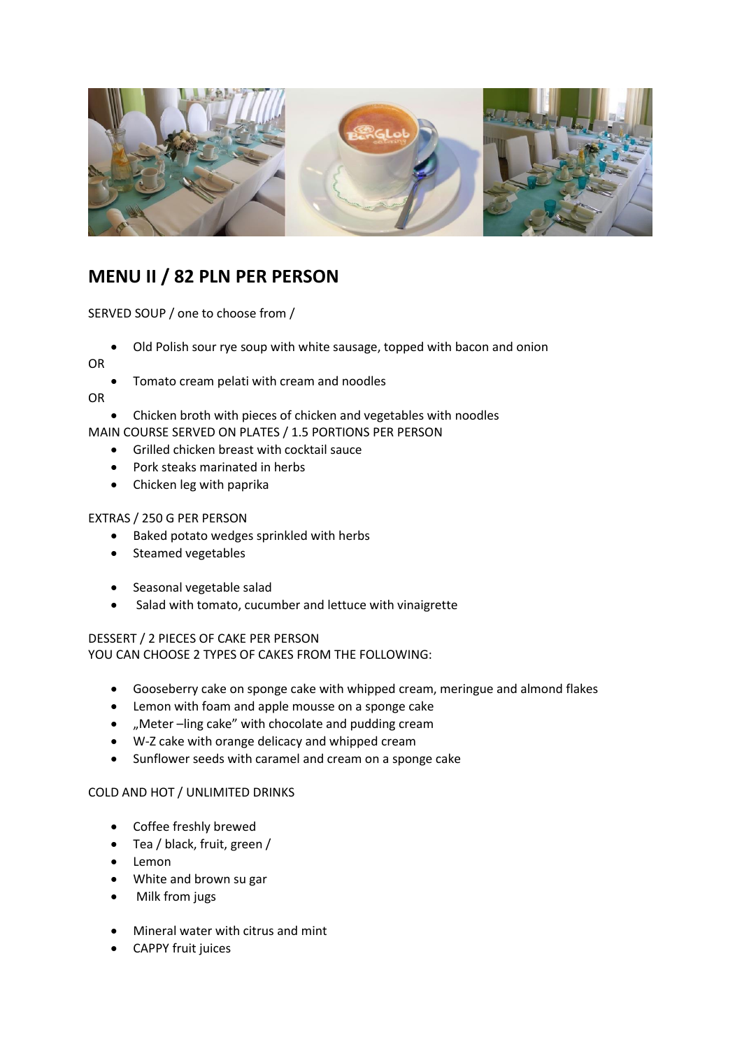

## **MENU II / 82 PLN PER PERSON**

SERVED SOUP / one to choose from /

Old Polish sour rye soup with white sausage, topped with bacon and onion

OR

Tomato cream pelati with cream and noodles

OR

- Chicken broth with pieces of chicken and vegetables with noodles
- MAIN COURSE SERVED ON PLATES / 1.5 PORTIONS PER PERSON
	- Grilled chicken breast with cocktail sauce
	- Pork steaks marinated in herbs
	- Chicken leg with paprika

#### EXTRAS / 250 G PER PERSON

- Baked potato wedges sprinkled with herbs
- Steamed vegetables
- Seasonal vegetable salad
- Salad with tomato, cucumber and lettuce with vinaigrette

## DESSERT / 2 PIECES OF CAKE PER PERSON YOU CAN CHOOSE 2 TYPES OF CAKES FROM THE FOLLOWING:

- Gooseberry cake on sponge cake with whipped cream, meringue and almond flakes
- Lemon with foam and apple mousse on a sponge cake
- "Meter –ling cake" with chocolate and pudding cream
- W-Z cake with orange delicacy and whipped cream
- Sunflower seeds with caramel and cream on a sponge cake

#### COLD AND HOT / UNLIMITED DRINKS

- Coffee freshly brewed
- Tea / black, fruit, green /
- Lemon
- White and brown su gar
- Milk from jugs
- Mineral water with citrus and mint
- CAPPY fruit juices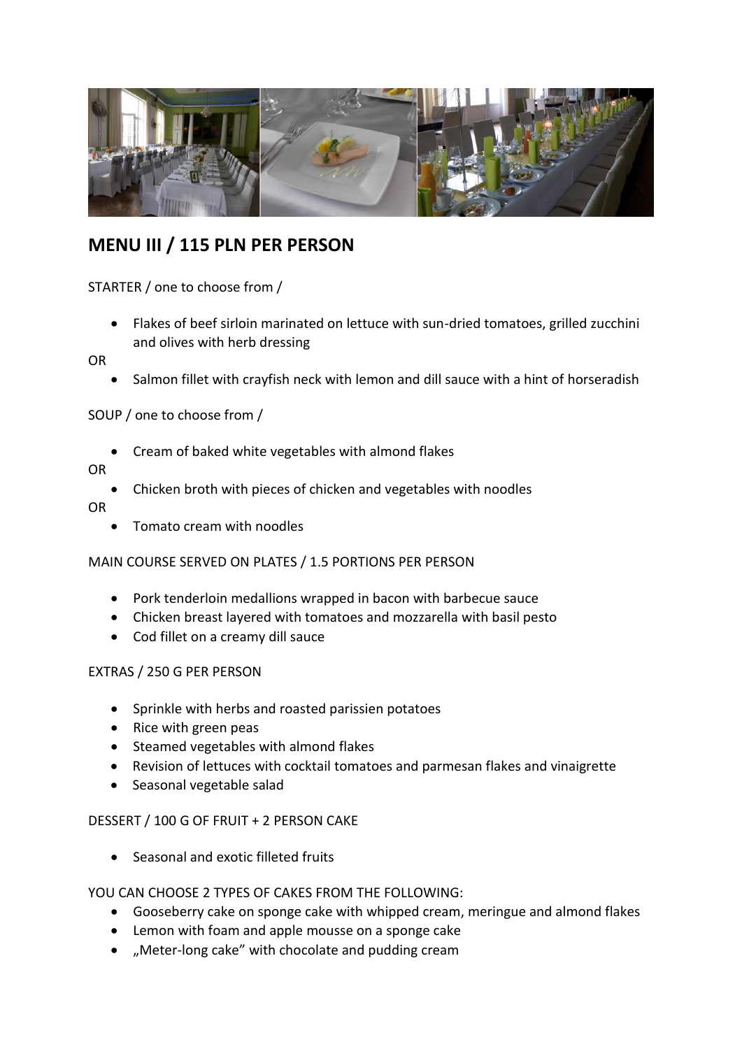

# **MENU III / 115 PLN PER PERSON**

STARTER / one to choose from /

 Flakes of beef sirloin marinated on lettuce with sun-dried tomatoes, grilled zucchini and olives with herb dressing

OR

• Salmon fillet with crayfish neck with lemon and dill sauce with a hint of horseradish

SOUP / one to choose from /

Cream of baked white vegetables with almond flakes

OR

Chicken broth with pieces of chicken and vegetables with noodles

OR

Tomato cream with noodles

## MAIN COURSE SERVED ON PLATES / 1.5 PORTIONS PER PERSON

- Pork tenderloin medallions wrapped in bacon with barbecue sauce
- Chicken breast layered with tomatoes and mozzarella with basil pesto
- Cod fillet on a creamy dill sauce

## EXTRAS / 250 G PER PERSON

- Sprinkle with herbs and roasted parissien potatoes
- Rice with green peas
- Steamed vegetables with almond flakes
- Revision of lettuces with cocktail tomatoes and parmesan flakes and vinaigrette
- Seasonal vegetable salad

## DESSERT / 100 G OF FRUIT + 2 PERSON CAKE

Seasonal and exotic filleted fruits

YOU CAN CHOOSE 2 TYPES OF CAKES FROM THE FOLLOWING:

- Gooseberry cake on sponge cake with whipped cream, meringue and almond flakes
- Lemon with foam and apple mousse on a sponge cake
- . "Meter-long cake" with chocolate and pudding cream